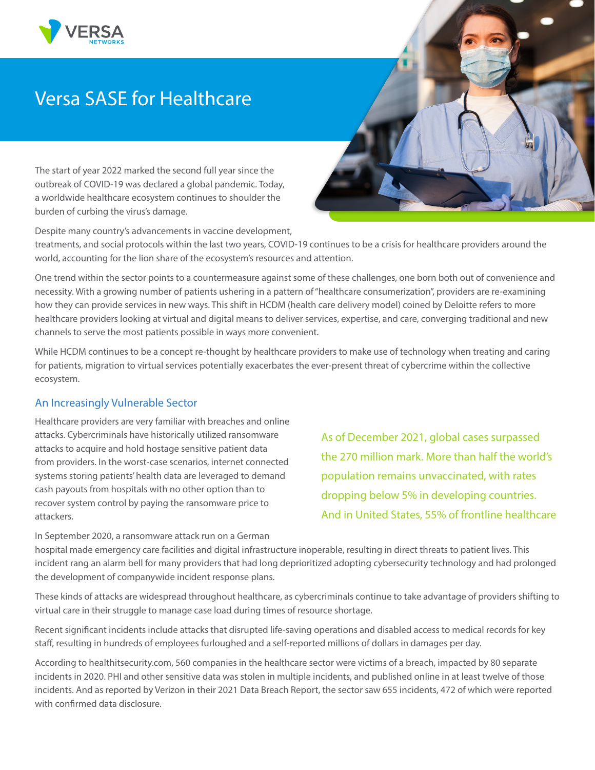

# Versa SASE for Healthcare

The start of year 2022 marked the second full year since the outbreak of COVID-19 was declared a global pandemic. Today, a worldwide healthcare ecosystem continues to shoulder the burden of curbing the virus's damage.

Despite many country's advancements in vaccine development,

treatments, and social protocols within the last two years, COVID-19 continues to be a crisis for healthcare providers around the world, accounting for the lion share of the ecosystem's resources and attention.

One trend within the sector points to a countermeasure against some of these challenges, one born both out of convenience and necessity. With a growing number of patients ushering in a pattern of "healthcare consumerization", providers are re-examining how they can provide services in new ways. This shift in HCDM (health care delivery model) coined by Deloitte refers to more healthcare providers looking at virtual and digital means to deliver services, expertise, and care, converging traditional and new channels to serve the most patients possible in ways more convenient.

While HCDM continues to be a concept re-thought by healthcare providers to make use of technology when treating and caring for patients, migration to virtual services potentially exacerbates the ever-present threat of cybercrime within the collective ecosystem.

## An Increasingly Vulnerable Sector

Healthcare providers are very familiar with breaches and online attacks. Cybercriminals have historically utilized ransomware attacks to acquire and hold hostage sensitive patient data from providers. In the worst-case scenarios, internet connected systems storing patients' health data are leveraged to demand cash payouts from hospitals with no other option than to recover system control by paying the ransomware price to attackers.

As of December 2021, global cases surpassed the 270 million mark. More than half the world's population remains unvaccinated, with rates dropping below 5% in developing countries. And in United States, 55% of frontline healthcare

In September 2020, a ransomware attack run on a German hospital made emergency care facilities and digital infrastructure inoperable, resulting in direct threats to patient lives. This incident rang an alarm bell for many providers that had long deprioritized adopting cybersecurity technology and had prolonged the development of companywide incident response plans.

These kinds of attacks are widespread throughout healthcare, as cybercriminals continue to take advantage of providers shifting to virtual care in their struggle to manage case load during times of resource shortage.

Recent significant incidents include attacks that disrupted life-saving operations and disabled access to medical records for key staff, resulting in hundreds of employees furloughed and a self-reported millions of dollars in damages per day.

According to healthitsecurity.com, 560 companies in the healthcare sector were victims of a breach, impacted by 80 separate incidents in 2020. PHI and other sensitive data was stolen in multiple incidents, and published online in at least twelve of those incidents. And as reported by Verizon in their 2021 Data Breach Report, the sector saw 655 incidents, 472 of which were reported with confirmed data disclosure.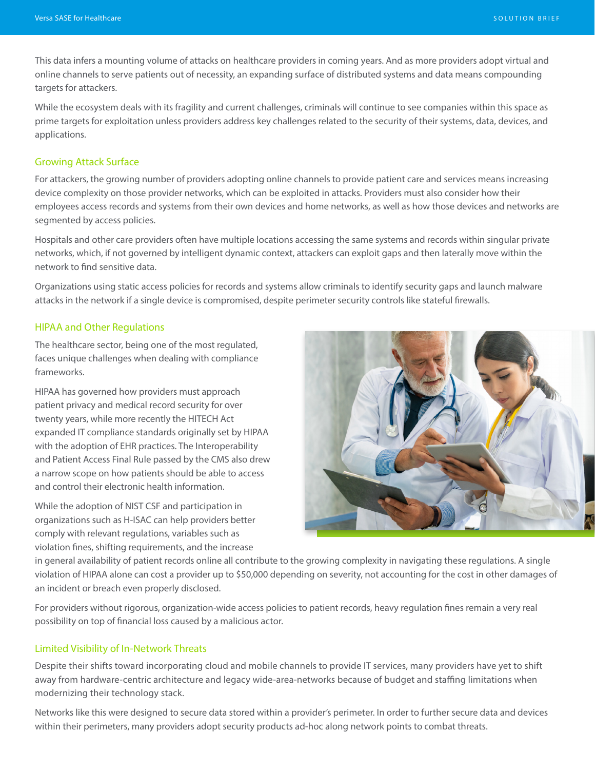This data infers a mounting volume of attacks on healthcare providers in coming years. And as more providers adopt virtual and online channels to serve patients out of necessity, an expanding surface of distributed systems and data means compounding targets for attackers.

While the ecosystem deals with its fragility and current challenges, criminals will continue to see companies within this space as prime targets for exploitation unless providers address key challenges related to the security of their systems, data, devices, and applications.

#### Growing Attack Surface

For attackers, the growing number of providers adopting online channels to provide patient care and services means increasing device complexity on those provider networks, which can be exploited in attacks. Providers must also consider how their employees access records and systems from their own devices and home networks, as well as how those devices and networks are segmented by access policies.

Hospitals and other care providers often have multiple locations accessing the same systems and records within singular private networks, which, if not governed by intelligent dynamic context, attackers can exploit gaps and then laterally move within the network to find sensitive data.

Organizations using static access policies for records and systems allow criminals to identify security gaps and launch malware attacks in the network if a single device is compromised, despite perimeter security controls like stateful firewalls.

## HIPAA and Other Regulations

The healthcare sector, being one of the most regulated, faces unique challenges when dealing with compliance frameworks.

HIPAA has governed how providers must approach patient privacy and medical record security for over twenty years, while more recently the HITECH Act expanded IT compliance standards originally set by HIPAA with the adoption of EHR practices. The Interoperability and Patient Access Final Rule passed by the CMS also drew a narrow scope on how patients should be able to access and control their electronic health information.

While the adoption of NIST CSF and participation in organizations such as H-ISAC can help providers better comply with relevant regulations, variables such as violation fines, shifting requirements, and the increase



in general availability of patient records online all contribute to the growing complexity in navigating these regulations. A single violation of HIPAA alone can cost a provider up to \$50,000 depending on severity, not accounting for the cost in other damages of an incident or breach even properly disclosed.

For providers without rigorous, organization-wide access policies to patient records, heavy regulation fines remain a very real possibility on top of financial loss caused by a malicious actor.

#### Limited Visibility of In-Network Threats

Despite their shifts toward incorporating cloud and mobile channels to provide IT services, many providers have yet to shift away from hardware-centric architecture and legacy wide-area-networks because of budget and staffing limitations when modernizing their technology stack.

Networks like this were designed to secure data stored within a provider's perimeter. In order to further secure data and devices within their perimeters, many providers adopt security products ad-hoc along network points to combat threats.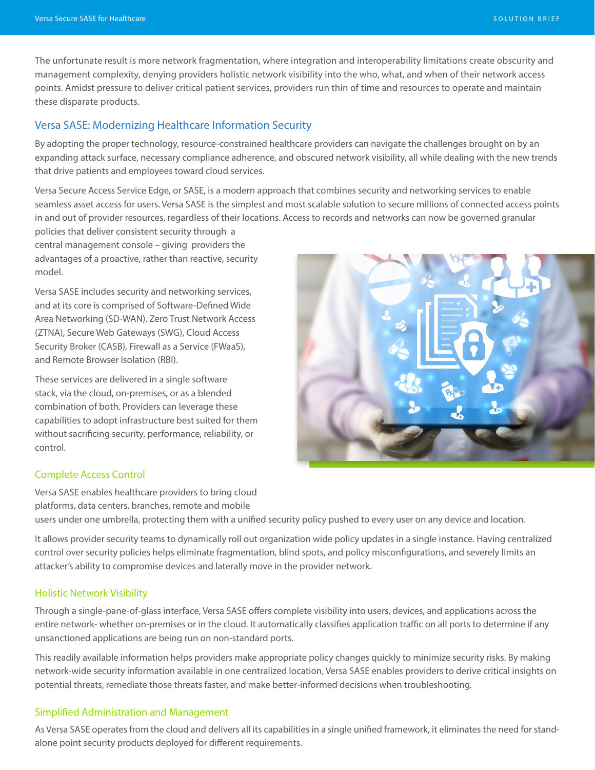The unfortunate result is more network fragmentation, where integration and interoperability limitations create obscurity and management complexity, denying providers holistic network visibility into the who, what, and when of their network access points. Amidst pressure to deliver critical patient services, providers run thin of time and resources to operate and maintain these disparate products.

## Versa SASE: Modernizing Healthcare Information Security

By adopting the proper technology, resource-constrained healthcare providers can navigate the challenges brought on by an expanding attack surface, necessary compliance adherence, and obscured network visibility, all while dealing with the new trends that drive patients and employees toward cloud services.

Versa Secure Access Service Edge, or SASE, is a modern approach that combines security and networking services to enable seamless asset access for users. Versa SASE is the simplest and most scalable solution to secure millions of connected access points in and out of provider resources, regardless of their locations. Access to records and networks can now be governed granular

policies that deliver consistent security through a central management console – giving providers the advantages of a proactive, rather than reactive, security model.

Versa SASE includes security and networking services, and at its core is comprised of Software-Defined Wide Area Networking (SD-WAN), Zero Trust Network Access (ZTNA), Secure Web Gateways (SWG), Cloud Access Security Broker (CASB), Firewall as a Service (FWaaS), and Remote Browser Isolation (RBI).

These services are delivered in a single software stack, via the cloud, on-premises, or as a blended combination of both. Providers can leverage these capabilities to adopt infrastructure best suited for them without sacrificing security, performance, reliability, or control.



#### Complete Access Control

Versa SASE enables healthcare providers to bring cloud platforms, data centers, branches, remote and mobile users under one umbrella, protecting them with a unified security policy pushed to every user on any device and location.

It allows provider security teams to dynamically roll out organization wide policy updates in a single instance. Having centralized control over security policies helps eliminate fragmentation, blind spots, and policy misconfigurations, and severely limits an attacker's ability to compromise devices and laterally move in the provider network.

### Holistic Network Visibility

Through a single-pane-of-glass interface, Versa SASE offers complete visibility into users, devices, and applications across the entire network- whether on-premises or in the cloud. It automatically classifies application traffic on all ports to determine if any unsanctioned applications are being run on non-standard ports.

This readily available information helps providers make appropriate policy changes quickly to minimize security risks. By making network-wide security information available in one centralized location, Versa SASE enables providers to derive critical insights on potential threats, remediate those threats faster, and make better-informed decisions when troubleshooting.

#### Simplified Administration and Management

As Versa SASE operates from the cloud and delivers all its capabilities in a single unified framework, it eliminates the need for standalone point security products deployed for different requirements.